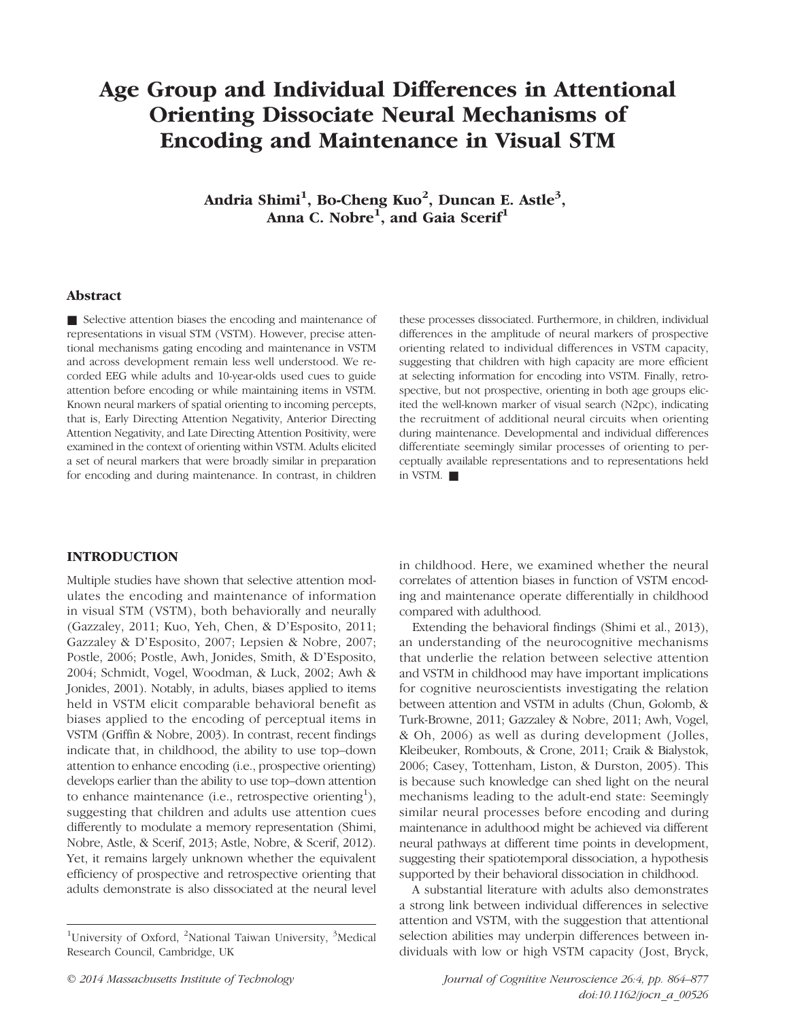# Age Group and Individual Differences in Attentional Orienting Dissociate Neural Mechanisms of Encoding and Maintenance in Visual STM

Andria Shimi<sup>1</sup>, Bo-Cheng Kuo<sup>2</sup>, Duncan E. Astle<sup>3</sup>, Anna C. Nobre<sup>1</sup>, and Gaia Scerif<sup>1</sup>

#### Abstract

■ Selective attention biases the encoding and maintenance of representations in visual STM (VSTM). However, precise attentional mechanisms gating encoding and maintenance in VSTM and across development remain less well understood. We recorded EEG while adults and 10-year-olds used cues to guide attention before encoding or while maintaining items in VSTM. Known neural markers of spatial orienting to incoming percepts, that is, Early Directing Attention Negativity, Anterior Directing Attention Negativity, and Late Directing Attention Positivity, were examined in the context of orienting within VSTM. Adults elicited a set of neural markers that were broadly similar in preparation for encoding and during maintenance. In contrast, in children

these processes dissociated. Furthermore, in children, individual differences in the amplitude of neural markers of prospective orienting related to individual differences in VSTM capacity, suggesting that children with high capacity are more efficient at selecting information for encoding into VSTM. Finally, retrospective, but not prospective, orienting in both age groups elicited the well-known marker of visual search (N2pc), indicating the recruitment of additional neural circuits when orienting during maintenance. Developmental and individual differences differentiate seemingly similar processes of orienting to perceptually available representations and to representations held in VSTM. ■

### INTRODUCTION

Multiple studies have shown that selective attention modulates the encoding and maintenance of information in visual STM (VSTM), both behaviorally and neurally (Gazzaley, 2011; Kuo, Yeh, Chen, & D'Esposito, 2011; Gazzaley & D'Esposito, 2007; Lepsien & Nobre, 2007; Postle, 2006; Postle, Awh, Jonides, Smith, & D'Esposito, 2004; Schmidt, Vogel, Woodman, & Luck, 2002; Awh & Jonides, 2001). Notably, in adults, biases applied to items held in VSTM elicit comparable behavioral benefit as biases applied to the encoding of perceptual items in VSTM (Griffin & Nobre, 2003). In contrast, recent findings indicate that, in childhood, the ability to use top–down attention to enhance encoding (i.e., prospective orienting) develops earlier than the ability to use top–down attention to enhance maintenance (i.e., retrospective orienting<sup>1</sup>), suggesting that children and adults use attention cues differently to modulate a memory representation (Shimi, Nobre, Astle, & Scerif, 2013; Astle, Nobre, & Scerif, 2012). Yet, it remains largely unknown whether the equivalent efficiency of prospective and retrospective orienting that adults demonstrate is also dissociated at the neural level

in childhood. Here, we examined whether the neural correlates of attention biases in function of VSTM encoding and maintenance operate differentially in childhood compared with adulthood.

Extending the behavioral findings (Shimi et al., 2013), an understanding of the neurocognitive mechanisms that underlie the relation between selective attention and VSTM in childhood may have important implications for cognitive neuroscientists investigating the relation between attention and VSTM in adults (Chun, Golomb, & Turk-Browne, 2011; Gazzaley & Nobre, 2011; Awh, Vogel, & Oh, 2006) as well as during development ( Jolles, Kleibeuker, Rombouts, & Crone, 2011; Craik & Bialystok, 2006; Casey, Tottenham, Liston, & Durston, 2005). This is because such knowledge can shed light on the neural mechanisms leading to the adult-end state: Seemingly similar neural processes before encoding and during maintenance in adulthood might be achieved via different neural pathways at different time points in development, suggesting their spatiotemporal dissociation, a hypothesis supported by their behavioral dissociation in childhood.

A substantial literature with adults also demonstrates a strong link between individual differences in selective attention and VSTM, with the suggestion that attentional selection abilities may underpin differences between individuals with low or high VSTM capacity ( Jost, Bryck,

© 2014 Massachusetts Institute of Technology Journal of Cognitive Neuroscience 26:4, pp. 864–877 doi:10.1162/jocn\_a\_00526

<sup>&</sup>lt;sup>1</sup>University of Oxford, <sup>2</sup>National Taiwan University, <sup>3</sup>Medical Research Council, Cambridge, UK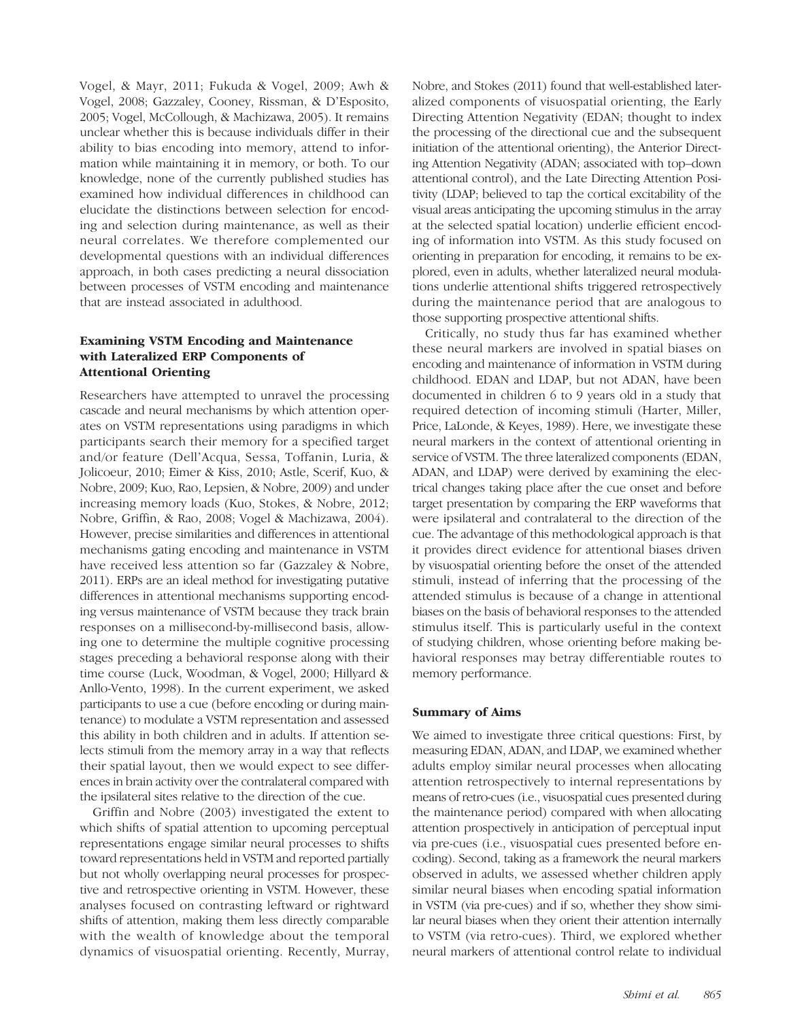Vogel, & Mayr, 2011; Fukuda & Vogel, 2009; Awh & Vogel, 2008; Gazzaley, Cooney, Rissman, & D'Esposito, 2005; Vogel, McCollough, & Machizawa, 2005). It remains unclear whether this is because individuals differ in their ability to bias encoding into memory, attend to information while maintaining it in memory, or both. To our knowledge, none of the currently published studies has examined how individual differences in childhood can elucidate the distinctions between selection for encoding and selection during maintenance, as well as their neural correlates. We therefore complemented our developmental questions with an individual differences approach, in both cases predicting a neural dissociation between processes of VSTM encoding and maintenance that are instead associated in adulthood.

# Examining VSTM Encoding and Maintenance with Lateralized ERP Components of Attentional Orienting

Researchers have attempted to unravel the processing cascade and neural mechanisms by which attention operates on VSTM representations using paradigms in which participants search their memory for a specified target and/or feature (Dell'Acqua, Sessa, Toffanin, Luria, & Jolicoeur, 2010; Eimer & Kiss, 2010; Astle, Scerif, Kuo, & Nobre, 2009; Kuo, Rao, Lepsien, & Nobre, 2009) and under increasing memory loads (Kuo, Stokes, & Nobre, 2012; Nobre, Griffin, & Rao, 2008; Vogel & Machizawa, 2004). However, precise similarities and differences in attentional mechanisms gating encoding and maintenance in VSTM have received less attention so far (Gazzaley & Nobre, 2011). ERPs are an ideal method for investigating putative differences in attentional mechanisms supporting encoding versus maintenance of VSTM because they track brain responses on a millisecond-by-millisecond basis, allowing one to determine the multiple cognitive processing stages preceding a behavioral response along with their time course (Luck, Woodman, & Vogel, 2000; Hillyard & Anllo-Vento, 1998). In the current experiment, we asked participants to use a cue (before encoding or during maintenance) to modulate a VSTM representation and assessed this ability in both children and in adults. If attention selects stimuli from the memory array in a way that reflects their spatial layout, then we would expect to see differences in brain activity over the contralateral compared with the ipsilateral sites relative to the direction of the cue.

Griffin and Nobre (2003) investigated the extent to which shifts of spatial attention to upcoming perceptual representations engage similar neural processes to shifts toward representations held in VSTM and reported partially but not wholly overlapping neural processes for prospective and retrospective orienting in VSTM. However, these analyses focused on contrasting leftward or rightward shifts of attention, making them less directly comparable with the wealth of knowledge about the temporal dynamics of visuospatial orienting. Recently, Murray,

Nobre, and Stokes (2011) found that well-established lateralized components of visuospatial orienting, the Early Directing Attention Negativity (EDAN; thought to index the processing of the directional cue and the subsequent initiation of the attentional orienting), the Anterior Directing Attention Negativity (ADAN; associated with top–down attentional control), and the Late Directing Attention Positivity (LDAP; believed to tap the cortical excitability of the visual areas anticipating the upcoming stimulus in the array at the selected spatial location) underlie efficient encoding of information into VSTM. As this study focused on orienting in preparation for encoding, it remains to be explored, even in adults, whether lateralized neural modulations underlie attentional shifts triggered retrospectively during the maintenance period that are analogous to those supporting prospective attentional shifts.

Critically, no study thus far has examined whether these neural markers are involved in spatial biases on encoding and maintenance of information in VSTM during childhood. EDAN and LDAP, but not ADAN, have been documented in children 6 to 9 years old in a study that required detection of incoming stimuli (Harter, Miller, Price, LaLonde, & Keyes, 1989). Here, we investigate these neural markers in the context of attentional orienting in service of VSTM. The three lateralized components (EDAN, ADAN, and LDAP) were derived by examining the electrical changes taking place after the cue onset and before target presentation by comparing the ERP waveforms that were ipsilateral and contralateral to the direction of the cue. The advantage of this methodological approach is that it provides direct evidence for attentional biases driven by visuospatial orienting before the onset of the attended stimuli, instead of inferring that the processing of the attended stimulus is because of a change in attentional biases on the basis of behavioral responses to the attended stimulus itself. This is particularly useful in the context of studying children, whose orienting before making behavioral responses may betray differentiable routes to memory performance.

## Summary of Aims

We aimed to investigate three critical questions: First, by measuring EDAN, ADAN, and LDAP, we examined whether adults employ similar neural processes when allocating attention retrospectively to internal representations by means of retro-cues (i.e., visuospatial cues presented during the maintenance period) compared with when allocating attention prospectively in anticipation of perceptual input via pre-cues (i.e., visuospatial cues presented before encoding). Second, taking as a framework the neural markers observed in adults, we assessed whether children apply similar neural biases when encoding spatial information in VSTM (via pre-cues) and if so, whether they show similar neural biases when they orient their attention internally to VSTM (via retro-cues). Third, we explored whether neural markers of attentional control relate to individual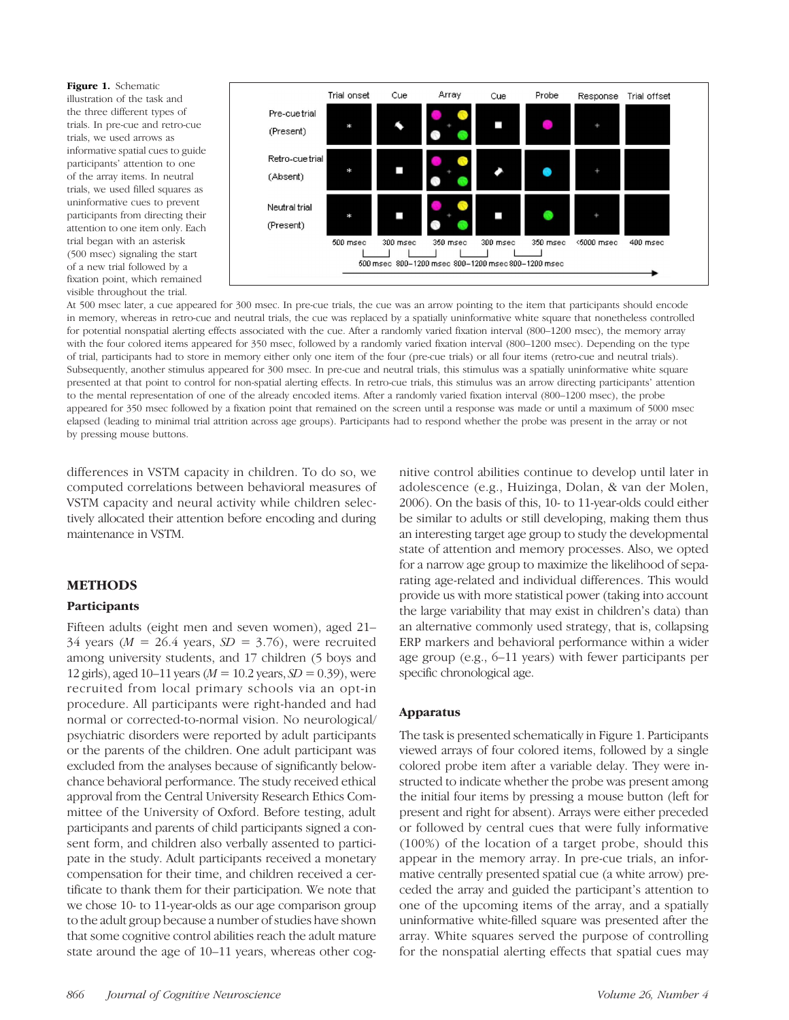Figure 1. Schematic illustration of the task and the three different types of trials. In pre-cue and retro-cue trials, we used arrows as informative spatial cues to guide participants' attention to one of the array items. In neutral trials, we used filled squares as uninformative cues to prevent participants from directing their attention to one item only. Each trial began with an asterisk (500 msec) signaling the start of a new trial followed by a fixation point, which remained visible throughout the trial.



At 500 msec later, a cue appeared for 300 msec. In pre-cue trials, the cue was an arrow pointing to the item that participants should encode in memory, whereas in retro-cue and neutral trials, the cue was replaced by a spatially uninformative white square that nonetheless controlled for potential nonspatial alerting effects associated with the cue. After a randomly varied fixation interval (800–1200 msec), the memory array with the four colored items appeared for 350 msec, followed by a randomly varied fixation interval (800–1200 msec). Depending on the type of trial, participants had to store in memory either only one item of the four (pre-cue trials) or all four items (retro-cue and neutral trials). Subsequently, another stimulus appeared for 300 msec. In pre-cue and neutral trials, this stimulus was a spatially uninformative white square presented at that point to control for non-spatial alerting effects. In retro-cue trials, this stimulus was an arrow directing participants' attention to the mental representation of one of the already encoded items. After a randomly varied fixation interval (800–1200 msec), the probe appeared for 350 msec followed by a fixation point that remained on the screen until a response was made or until a maximum of 5000 msec elapsed (leading to minimal trial attrition across age groups). Participants had to respond whether the probe was present in the array or not by pressing mouse buttons.

differences in VSTM capacity in children. To do so, we computed correlations between behavioral measures of VSTM capacity and neural activity while children selectively allocated their attention before encoding and during maintenance in VSTM.

# METHODS

# Participants

Fifteen adults (eight men and seven women), aged 21– 34 years ( $M = 26.4$  years,  $SD = 3.76$ ), were recruited among university students, and 17 children (5 boys and 12 girls), aged 10–11 years ( $M = 10.2$  years,  $SD = 0.39$ ), were recruited from local primary schools via an opt-in procedure. All participants were right-handed and had normal or corrected-to-normal vision. No neurological/ psychiatric disorders were reported by adult participants or the parents of the children. One adult participant was excluded from the analyses because of significantly belowchance behavioral performance. The study received ethical approval from the Central University Research Ethics Committee of the University of Oxford. Before testing, adult participants and parents of child participants signed a consent form, and children also verbally assented to participate in the study. Adult participants received a monetary compensation for their time, and children received a certificate to thank them for their participation. We note that we chose 10- to 11-year-olds as our age comparison group to the adult group because a number of studies have shown that some cognitive control abilities reach the adult mature state around the age of 10–11 years, whereas other cognitive control abilities continue to develop until later in adolescence (e.g., Huizinga, Dolan, & van der Molen, 2006). On the basis of this, 10- to 11-year-olds could either be similar to adults or still developing, making them thus an interesting target age group to study the developmental state of attention and memory processes. Also, we opted for a narrow age group to maximize the likelihood of separating age-related and individual differences. This would provide us with more statistical power (taking into account the large variability that may exist in children's data) than an alternative commonly used strategy, that is, collapsing ERP markers and behavioral performance within a wider age group (e.g., 6–11 years) with fewer participants per specific chronological age.

# Apparatus

The task is presented schematically in Figure 1. Participants viewed arrays of four colored items, followed by a single colored probe item after a variable delay. They were instructed to indicate whether the probe was present among the initial four items by pressing a mouse button (left for present and right for absent). Arrays were either preceded or followed by central cues that were fully informative (100%) of the location of a target probe, should this appear in the memory array. In pre-cue trials, an informative centrally presented spatial cue (a white arrow) preceded the array and guided the participant's attention to one of the upcoming items of the array, and a spatially uninformative white-filled square was presented after the array. White squares served the purpose of controlling for the nonspatial alerting effects that spatial cues may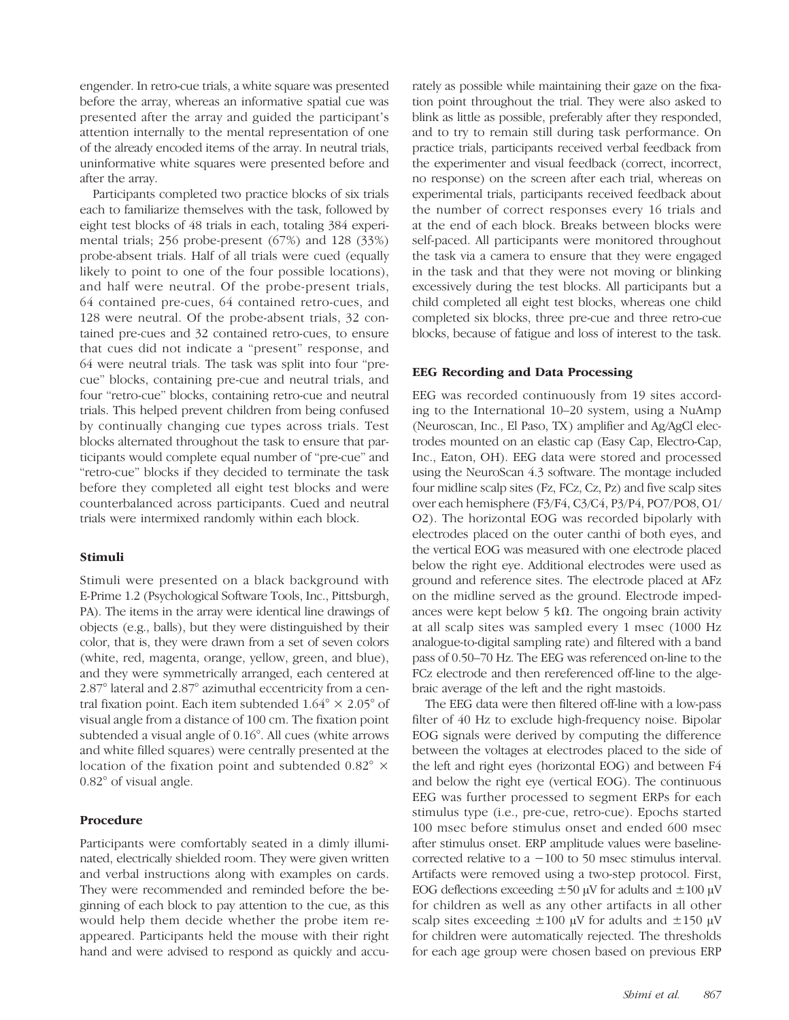engender. In retro-cue trials, a white square was presented before the array, whereas an informative spatial cue was presented after the array and guided the participant's attention internally to the mental representation of one of the already encoded items of the array. In neutral trials, uninformative white squares were presented before and after the array.

Participants completed two practice blocks of six trials each to familiarize themselves with the task, followed by eight test blocks of 48 trials in each, totaling 384 experimental trials; 256 probe-present (67%) and 128 (33%) probe-absent trials. Half of all trials were cued (equally likely to point to one of the four possible locations), and half were neutral. Of the probe-present trials, 64 contained pre-cues, 64 contained retro-cues, and 128 were neutral. Of the probe-absent trials, 32 contained pre-cues and 32 contained retro-cues, to ensure that cues did not indicate a "present" response, and 64 were neutral trials. The task was split into four "precue" blocks, containing pre-cue and neutral trials, and four "retro-cue" blocks, containing retro-cue and neutral trials. This helped prevent children from being confused by continually changing cue types across trials. Test blocks alternated throughout the task to ensure that participants would complete equal number of "pre-cue" and "retro-cue" blocks if they decided to terminate the task before they completed all eight test blocks and were counterbalanced across participants. Cued and neutral trials were intermixed randomly within each block.

## Stimuli

Stimuli were presented on a black background with E-Prime 1.2 (Psychological Software Tools, Inc., Pittsburgh, PA). The items in the array were identical line drawings of objects (e.g., balls), but they were distinguished by their color, that is, they were drawn from a set of seven colors (white, red, magenta, orange, yellow, green, and blue), and they were symmetrically arranged, each centered at 2.87° lateral and 2.87° azimuthal eccentricity from a central fixation point. Each item subtended  $1.64^{\circ} \times 2.05^{\circ}$  of visual angle from a distance of 100 cm. The fixation point subtended a visual angle of 0.16°. All cues (white arrows and white filled squares) were centrally presented at the location of the fixation point and subtended 0.82° × 0.82° of visual angle.

#### Procedure

Participants were comfortably seated in a dimly illuminated, electrically shielded room. They were given written and verbal instructions along with examples on cards. They were recommended and reminded before the beginning of each block to pay attention to the cue, as this would help them decide whether the probe item reappeared. Participants held the mouse with their right hand and were advised to respond as quickly and accu-

rately as possible while maintaining their gaze on the fixation point throughout the trial. They were also asked to blink as little as possible, preferably after they responded, and to try to remain still during task performance. On practice trials, participants received verbal feedback from the experimenter and visual feedback (correct, incorrect, no response) on the screen after each trial, whereas on experimental trials, participants received feedback about the number of correct responses every 16 trials and at the end of each block. Breaks between blocks were self-paced. All participants were monitored throughout the task via a camera to ensure that they were engaged in the task and that they were not moving or blinking excessively during the test blocks. All participants but a child completed all eight test blocks, whereas one child completed six blocks, three pre-cue and three retro-cue blocks, because of fatigue and loss of interest to the task.

#### EEG Recording and Data Processing

EEG was recorded continuously from 19 sites according to the International 10–20 system, using a NuAmp (Neuroscan, Inc., El Paso, TX ) amplifier and Ag/AgCl electrodes mounted on an elastic cap (Easy Cap, Electro-Cap, Inc., Eaton, OH). EEG data were stored and processed using the NeuroScan 4.3 software. The montage included four midline scalp sites (Fz, FCz, Cz, Pz) and five scalp sites over each hemisphere (F3/F4, C3/C4, P3/P4, PO7/PO8, O1/ O2). The horizontal EOG was recorded bipolarly with electrodes placed on the outer canthi of both eyes, and the vertical EOG was measured with one electrode placed below the right eye. Additional electrodes were used as ground and reference sites. The electrode placed at AFz on the midline served as the ground. Electrode impedances were kept below 5 kΩ. The ongoing brain activity at all scalp sites was sampled every 1 msec (1000 Hz analogue-to-digital sampling rate) and filtered with a band pass of 0.50–70 Hz. The EEG was referenced on-line to the FCz electrode and then rereferenced off-line to the algebraic average of the left and the right mastoids.

The EEG data were then filtered off-line with a low-pass filter of 40 Hz to exclude high-frequency noise. Bipolar EOG signals were derived by computing the difference between the voltages at electrodes placed to the side of the left and right eyes (horizontal EOG) and between F4 and below the right eye (vertical EOG). The continuous EEG was further processed to segment ERPs for each stimulus type (i.e., pre-cue, retro-cue). Epochs started 100 msec before stimulus onset and ended 600 msec after stimulus onset. ERP amplitude values were baselinecorrected relative to a −100 to 50 msec stimulus interval. Artifacts were removed using a two-step protocol. First, EOG deflections exceeding  $\pm$ 50 μV for adults and  $\pm$ 100 μV for children as well as any other artifacts in all other scalp sites exceeding  $\pm 100 \mu$ V for adults and  $\pm 150 \mu$ V for children were automatically rejected. The thresholds for each age group were chosen based on previous ERP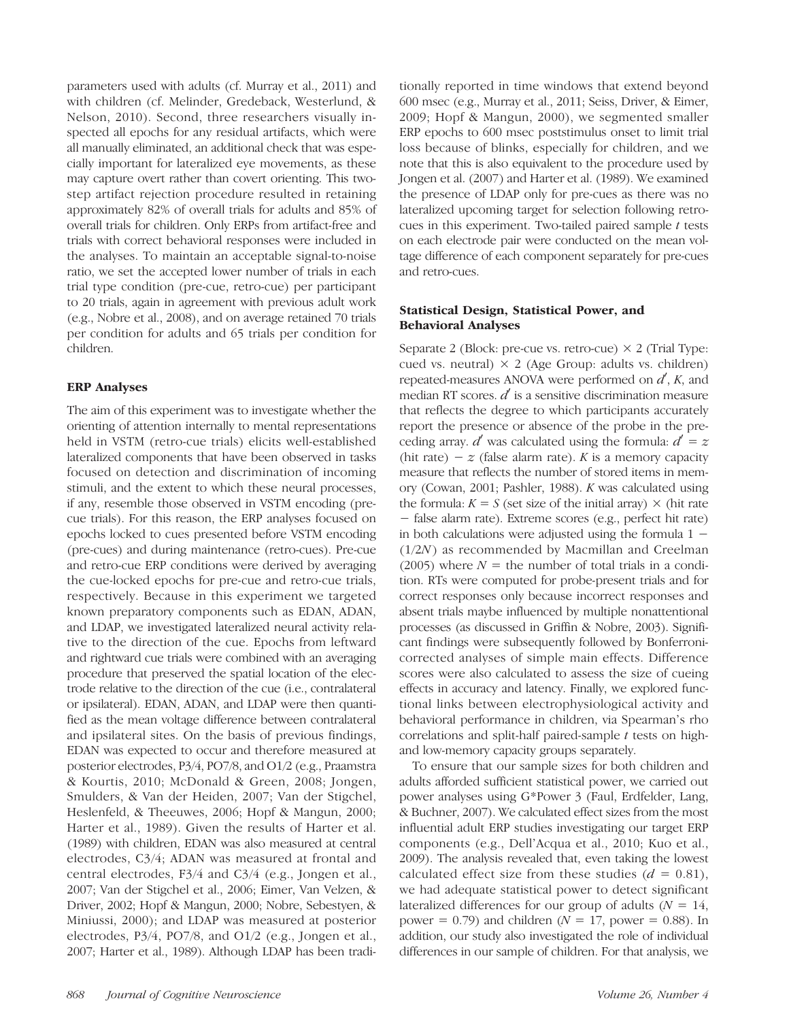parameters used with adults (cf. Murray et al., 2011) and with children (cf. Melinder, Gredeback, Westerlund, & Nelson, 2010). Second, three researchers visually inspected all epochs for any residual artifacts, which were all manually eliminated, an additional check that was especially important for lateralized eye movements, as these may capture overt rather than covert orienting. This twostep artifact rejection procedure resulted in retaining approximately 82% of overall trials for adults and 85% of overall trials for children. Only ERPs from artifact-free and trials with correct behavioral responses were included in the analyses. To maintain an acceptable signal-to-noise ratio, we set the accepted lower number of trials in each trial type condition (pre-cue, retro-cue) per participant to 20 trials, again in agreement with previous adult work (e.g., Nobre et al., 2008), and on average retained 70 trials per condition for adults and 65 trials per condition for children.

## ERP Analyses

The aim of this experiment was to investigate whether the orienting of attention internally to mental representations held in VSTM (retro-cue trials) elicits well-established lateralized components that have been observed in tasks focused on detection and discrimination of incoming stimuli, and the extent to which these neural processes, if any, resemble those observed in VSTM encoding (precue trials). For this reason, the ERP analyses focused on epochs locked to cues presented before VSTM encoding (pre-cues) and during maintenance (retro-cues). Pre-cue and retro-cue ERP conditions were derived by averaging the cue-locked epochs for pre-cue and retro-cue trials, respectively. Because in this experiment we targeted known preparatory components such as EDAN, ADAN, and LDAP, we investigated lateralized neural activity relative to the direction of the cue. Epochs from leftward and rightward cue trials were combined with an averaging procedure that preserved the spatial location of the electrode relative to the direction of the cue (i.e., contralateral or ipsilateral). EDAN, ADAN, and LDAP were then quantified as the mean voltage difference between contralateral and ipsilateral sites. On the basis of previous findings, EDAN was expected to occur and therefore measured at posterior electrodes, P3/4, PO7/8, and O1/2 (e.g., Praamstra & Kourtis, 2010; McDonald & Green, 2008; Jongen, Smulders, & Van der Heiden, 2007; Van der Stigchel, Heslenfeld, & Theeuwes, 2006; Hopf & Mangun, 2000; Harter et al., 1989). Given the results of Harter et al. (1989) with children, EDAN was also measured at central electrodes, C3/4; ADAN was measured at frontal and central electrodes, F3/4 and C3/4 (e.g., Jongen et al., 2007; Van der Stigchel et al., 2006; Eimer, Van Velzen, & Driver, 2002; Hopf & Mangun, 2000; Nobre, Sebestyen, & Miniussi, 2000); and LDAP was measured at posterior electrodes, P3/4, PO7/8, and O1/2 (e.g., Jongen et al., 2007; Harter et al., 1989). Although LDAP has been tradi-

tionally reported in time windows that extend beyond 600 msec (e.g., Murray et al., 2011; Seiss, Driver, & Eimer, 2009; Hopf & Mangun, 2000), we segmented smaller ERP epochs to 600 msec poststimulus onset to limit trial loss because of blinks, especially for children, and we note that this is also equivalent to the procedure used by Jongen et al. (2007) and Harter et al. (1989). We examined the presence of LDAP only for pre-cues as there was no lateralized upcoming target for selection following retrocues in this experiment. Two-tailed paired sample  $t$  tests on each electrode pair were conducted on the mean voltage difference of each component separately for pre-cues and retro-cues.

## Statistical Design, Statistical Power, and Behavioral Analyses

Separate 2 (Block: pre-cue vs. retro-cue)  $\times$  2 (Trial Type: cued vs. neutral)  $\times$  2 (Age Group: adults vs. children) repeated-measures ANOVA were performed on  $d'$ , K, and median RT scores.  $d'$  is a sensitive discrimination measure that reflects the degree to which participants accurately report the presence or absence of the probe in the preceding array. d' was calculated using the formula:  $d' = z$ (hit rate)  $-z$  (false alarm rate). K is a memory capacity measure that reflects the number of stored items in memory (Cowan, 2001; Pashler, 1988). K was calculated using the formula:  $K = S$  (set size of the initial array)  $\times$  (hit rate − false alarm rate). Extreme scores (e.g., perfect hit rate) in both calculations were adjusted using the formula 1 − (1/2N) as recommended by Macmillan and Creelman (2005) where  $N =$  the number of total trials in a condition. RTs were computed for probe-present trials and for correct responses only because incorrect responses and absent trials maybe influenced by multiple nonattentional processes (as discussed in Griffin & Nobre, 2003). Significant findings were subsequently followed by Bonferronicorrected analyses of simple main effects. Difference scores were also calculated to assess the size of cueing effects in accuracy and latency. Finally, we explored functional links between electrophysiological activity and behavioral performance in children, via Spearman's rho correlations and split-half paired-sample  $t$  tests on highand low-memory capacity groups separately.

To ensure that our sample sizes for both children and adults afforded sufficient statistical power, we carried out power analyses using G\*Power 3 (Faul, Erdfelder, Lang, & Buchner, 2007). We calculated effect sizes from the most influential adult ERP studies investigating our target ERP components (e.g., Dell'Acqua et al., 2010; Kuo et al., 2009). The analysis revealed that, even taking the lowest calculated effect size from these studies  $(d = 0.81)$ , we had adequate statistical power to detect significant lateralized differences for our group of adults  $(N = 14,$ power = 0.79) and children  $(N = 17,$  power = 0.88). In addition, our study also investigated the role of individual differences in our sample of children. For that analysis, we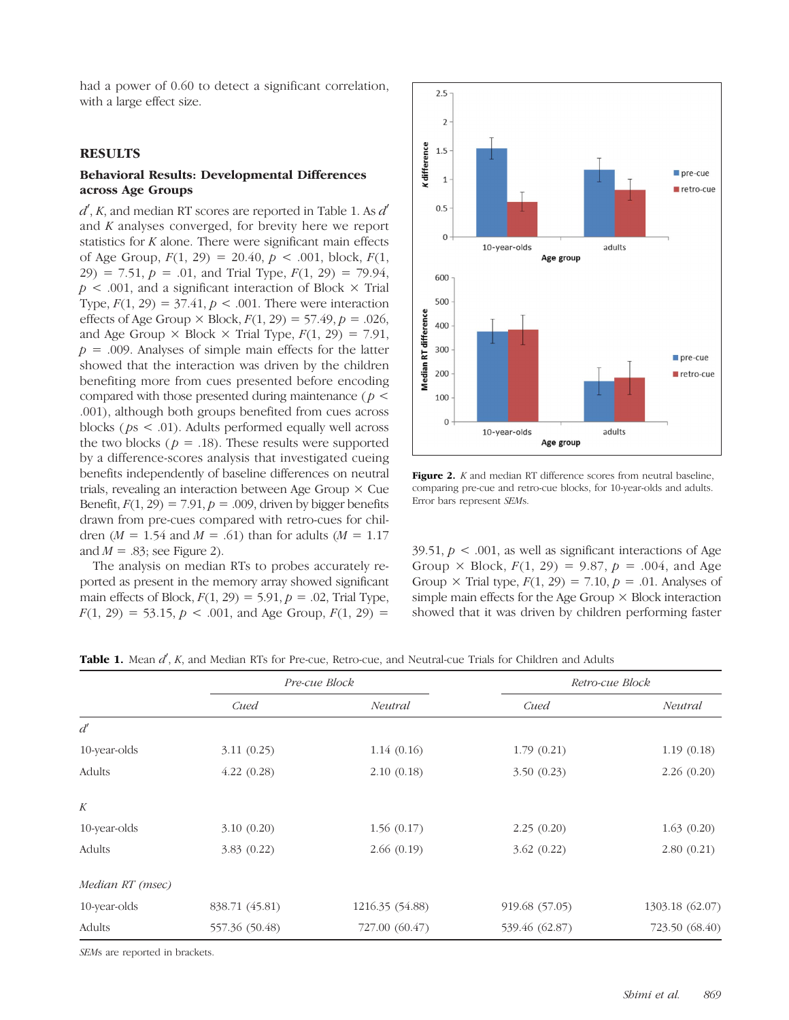had a power of 0.60 to detect a significant correlation, with a large effect size.

#### RESULTS

## Behavioral Results: Developmental Differences across Age Groups

 $d^{\prime},$  K, and median RT scores are reported in Table 1. As  $d^{\prime}$ and K analyses converged, for brevity here we report statistics for  $K$  alone. There were significant main effects of Age Group,  $F(1, 29) = 20.40, p < .001$ , block,  $F(1, 1)$ 29) = 7.51,  $p = .01$ , and Trial Type,  $F(1, 29) = 79.94$ ,  $p < .001$ , and a significant interaction of Block  $\times$  Trial Type,  $F(1, 29) = 37.41$ ,  $p < .001$ . There were interaction effects of Age Group  $\times$  Block,  $F(1, 29) = 57.49$ ,  $p = .026$ , and Age Group  $\times$  Block  $\times$  Trial Type,  $F(1, 29) = 7.91$ ,  $p = .009$ . Analyses of simple main effects for the latter showed that the interaction was driven by the children benefiting more from cues presented before encoding compared with those presented during maintenance ( $p <$ .001), although both groups benefited from cues across blocks ( $ps < .01$ ). Adults performed equally well across the two blocks ( $p = .18$ ). These results were supported by a difference-scores analysis that investigated cueing benefits independently of baseline differences on neutral trials, revealing an interaction between Age Group  $\times$  Cue Benefit,  $F(1, 29) = 7.91$ ,  $p = .009$ , driven by bigger benefits drawn from pre-cues compared with retro-cues for children ( $M = 1.54$  and  $M = .61$ ) than for adults ( $M = 1.17$ and  $M = .83$ ; see Figure 2).

The analysis on median RTs to probes accurately reported as present in the memory array showed significant main effects of Block,  $F(1, 29) = 5.91$ ,  $p = .02$ , Trial Type,  $F(1, 29) = 53.15, p < .001$ , and Age Group,  $F(1, 29) =$ 



Figure 2. K and median RT difference scores from neutral baseline, comparing pre-cue and retro-cue blocks, for 10-year-olds and adults. Error bars represent SEMs.

39.51,  $p < .001$ , as well as significant interactions of Age Group  $\times$  Block,  $F(1, 29) = 9.87$ ,  $p = .004$ , and Age Group  $\times$  Trial type,  $F(1, 29) = 7.10$ ,  $p = .01$ . Analyses of simple main effects for the Age Group  $\times$  Block interaction showed that it was driven by children performing faster

**Table 1.** Mean d', K, and Median RTs for Pre-cue, Retro-cue, and Neutral-cue Trials for Children and Adults

|                  | Pre-cue Block  |                 | Retro-cue Block |                 |
|------------------|----------------|-----------------|-----------------|-----------------|
|                  | Cued           | Neutral         | Cued            | Neutral         |
| $d^{\prime}$     |                |                 |                 |                 |
| 10-year-olds     | 3.11(0.25)     | 1.14(0.16)      | 1.79(0.21)      | 1.19(0.18)      |
| Adults           | 4.22(0.28)     | 2.10(0.18)      | 3.50(0.23)      | 2.26(0.20)      |
| K                |                |                 |                 |                 |
| 10-year-olds     | 3.10(0.20)     | 1.56(0.17)      | 2.25(0.20)      | 1.63(0.20)      |
| Adults           | 3.83(0.22)     | 2.66(0.19)      | 3.62(0.22)      | 2.80(0.21)      |
| Median RT (msec) |                |                 |                 |                 |
| 10-year-olds     | 838.71 (45.81) | 1216.35 (54.88) | 919.68 (57.05)  | 1303.18 (62.07) |
| Adults           | 557.36 (50.48) | 727.00 (60.47)  | 539.46 (62.87)  | 723.50 (68.40)  |

SEMs are reported in brackets.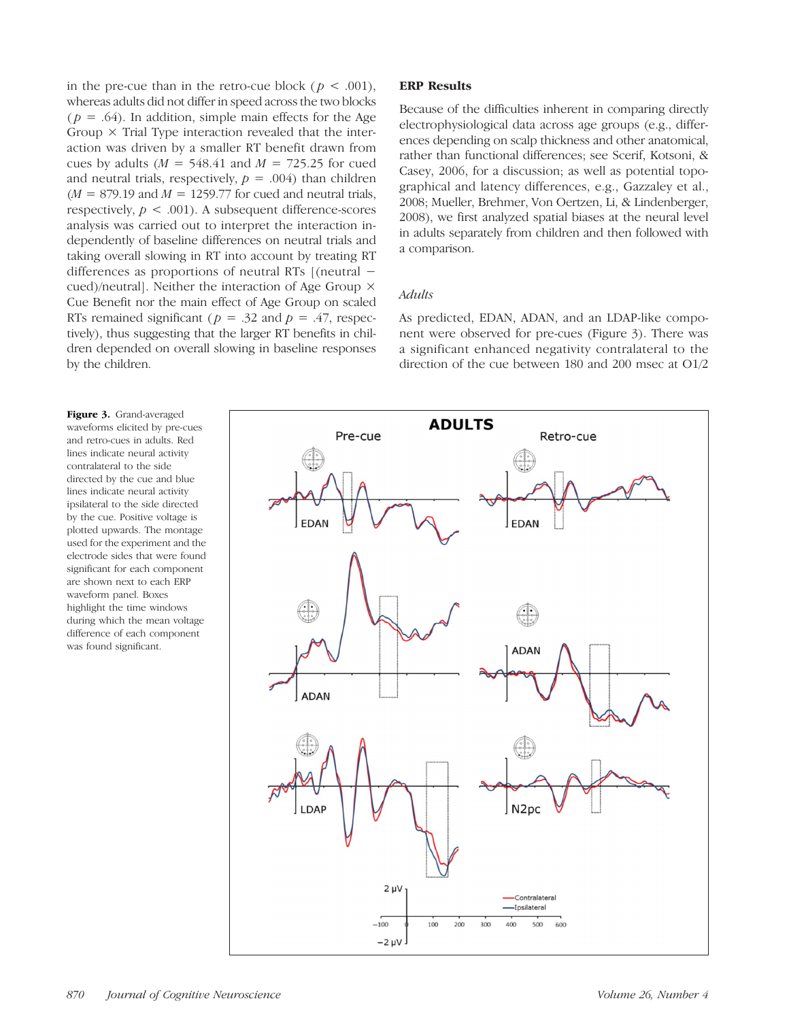in the pre-cue than in the retro-cue block ( $p < .001$ ), whereas adults did not differ in speed across the two blocks  $(p = .64)$ . In addition, simple main effects for the Age Group  $\times$  Trial Type interaction revealed that the interaction was driven by a smaller RT benefit drawn from cues by adults ( $M = 548.41$  and  $M = 725.25$  for cued and neutral trials, respectively,  $p = .004$ ) than children  $(M = 879.19$  and  $M = 1259.77$  for cued and neutral trials, respectively,  $p < .001$ ). A subsequent difference-scores analysis was carried out to interpret the interaction independently of baseline differences on neutral trials and taking overall slowing in RT into account by treating RT differences as proportions of neutral RTs [(neutral − cued)/neutral]. Neither the interaction of Age Group × Cue Benefit nor the main effect of Age Group on scaled RTs remained significant ( $p = .32$  and  $p = .47$ , respectively), thus suggesting that the larger RT benefits in children depended on overall slowing in baseline responses by the children.

## ERP Results

Because of the difficulties inherent in comparing directly electrophysiological data across age groups (e.g., differences depending on scalp thickness and other anatomical, rather than functional differences; see Scerif, Kotsoni, & Casey, 2006, for a discussion; as well as potential topographical and latency differences, e.g., Gazzaley et al., 2008; Mueller, Brehmer, Von Oertzen, Li, & Lindenberger, 2008), we first analyzed spatial biases at the neural level in adults separately from children and then followed with a comparison.

## Adults

As predicted, EDAN, ADAN, and an LDAP-like component were observed for pre-cues (Figure 3). There was a significant enhanced negativity contralateral to the direction of the cue between 180 and 200 msec at O1/2

Figure 3. Grand-averaged waveforms elicited by pre-cues and retro-cues in adults. Red lines indicate neural activity contralateral to the side directed by the cue and blue lines indicate neural activity ipsilateral to the side directed by the cue. Positive voltage is plotted upwards. The montage used for the experiment and the electrode sides that were found significant for each component are shown next to each ERP waveform panel. Boxes highlight the time windows during which the mean voltage difference of each component was found significant.

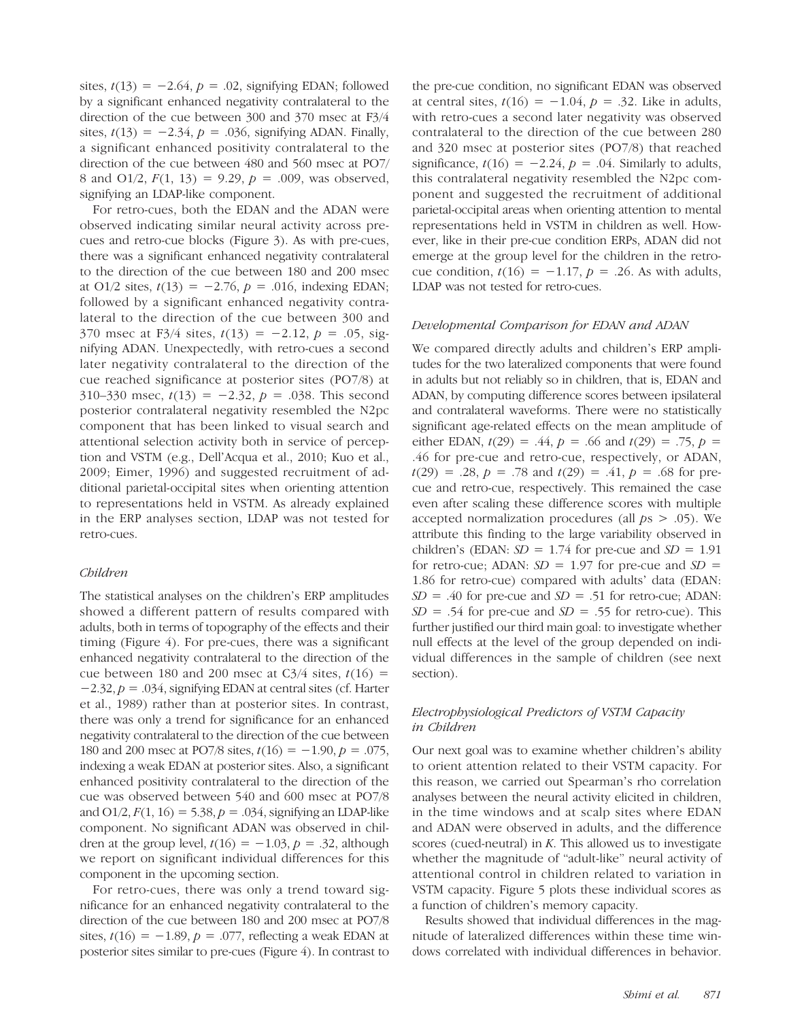sites,  $t(13) = -2.64$ ,  $p = .02$ , signifying EDAN; followed by a significant enhanced negativity contralateral to the direction of the cue between 300 and 370 msec at F3/4 sites,  $t(13) = -2.34$ ,  $p = .036$ , signifying ADAN. Finally, a significant enhanced positivity contralateral to the direction of the cue between 480 and 560 msec at PO7/ 8 and O1/2,  $F(1, 13) = 9.29$ ,  $p = .009$ , was observed, signifying an LDAP-like component.

For retro-cues, both the EDAN and the ADAN were observed indicating similar neural activity across precues and retro-cue blocks (Figure 3). As with pre-cues, there was a significant enhanced negativity contralateral to the direction of the cue between 180 and 200 msec at O1/2 sites,  $t(13) = -2.76$ ,  $p = .016$ , indexing EDAN; followed by a significant enhanced negativity contralateral to the direction of the cue between 300 and 370 msec at F3/4 sites,  $t(13) = -2.12$ ,  $p = .05$ , signifying ADAN. Unexpectedly, with retro-cues a second later negativity contralateral to the direction of the cue reached significance at posterior sites (PO7/8) at 310–330 msec,  $t(13) = -2.32$ ,  $p = .038$ . This second posterior contralateral negativity resembled the N2pc component that has been linked to visual search and attentional selection activity both in service of perception and VSTM (e.g., Dell'Acqua et al., 2010; Kuo et al., 2009; Eimer, 1996) and suggested recruitment of additional parietal-occipital sites when orienting attention to representations held in VSTM. As already explained in the ERP analyses section, LDAP was not tested for retro-cues.

## Children

The statistical analyses on the children's ERP amplitudes showed a different pattern of results compared with adults, both in terms of topography of the effects and their timing (Figure 4). For pre-cues, there was a significant enhanced negativity contralateral to the direction of the cue between 180 and 200 msec at  $C_3/4$  sites,  $t(16) =$  $-2.32$ ,  $p = .034$ , signifying EDAN at central sites (cf. Harter et al., 1989) rather than at posterior sites. In contrast, there was only a trend for significance for an enhanced negativity contralateral to the direction of the cue between 180 and 200 msec at PO7/8 sites,  $t(16) = -1.90$ ,  $p = .075$ , indexing a weak EDAN at posterior sites. Also, a significant enhanced positivity contralateral to the direction of the cue was observed between 540 and 600 msec at PO7/8 and O1/2,  $F(1, 16) = 5.38$ ,  $p = .034$ , signifying an LDAP-like component. No significant ADAN was observed in children at the group level,  $t(16) = -1.03$ ,  $p = .32$ , although we report on significant individual differences for this component in the upcoming section.

For retro-cues, there was only a trend toward significance for an enhanced negativity contralateral to the direction of the cue between 180 and 200 msec at PO7/8 sites,  $t(16) = -1.89$ ,  $p = .077$ , reflecting a weak EDAN at posterior sites similar to pre-cues (Figure 4). In contrast to

the pre-cue condition, no significant EDAN was observed at central sites,  $t(16) = -1.04$ ,  $p = .32$ . Like in adults, with retro-cues a second later negativity was observed contralateral to the direction of the cue between 280 and 320 msec at posterior sites (PO7/8) that reached significance,  $t(16) = -2.24$ ,  $p = .04$ . Similarly to adults, this contralateral negativity resembled the N2pc component and suggested the recruitment of additional parietal-occipital areas when orienting attention to mental representations held in VSTM in children as well. However, like in their pre-cue condition ERPs, ADAN did not emerge at the group level for the children in the retrocue condition,  $t(16) = -1.17$ ,  $p = .26$ . As with adults, LDAP was not tested for retro-cues.

## Developmental Comparison for EDAN and ADAN

We compared directly adults and children's ERP amplitudes for the two lateralized components that were found in adults but not reliably so in children, that is, EDAN and ADAN, by computing difference scores between ipsilateral and contralateral waveforms. There were no statistically significant age-related effects on the mean amplitude of either EDAN,  $t(29) = .44$ ,  $p = .66$  and  $t(29) = .75$ ,  $p =$ .46 for pre-cue and retro-cue, respectively, or ADAN,  $t(29) = .28, p = .78$  and  $t(29) = .41, p = .68$  for precue and retro-cue, respectively. This remained the case even after scaling these difference scores with multiple accepted normalization procedures (all  $ps > .05$ ). We attribute this finding to the large variability observed in children's (EDAN:  $SD = 1.74$  for pre-cue and  $SD = 1.91$ for retro-cue; ADAN:  $SD = 1.97$  for pre-cue and  $SD =$ 1.86 for retro-cue) compared with adults' data (EDAN:  $SD = .40$  for pre-cue and  $SD = .51$  for retro-cue; ADAN:  $SD = .54$  for pre-cue and  $SD = .55$  for retro-cue). This further justified our third main goal: to investigate whether null effects at the level of the group depended on individual differences in the sample of children (see next section).

# Electrophysiological Predictors of VSTM Capacity in Children

Our next goal was to examine whether children's ability to orient attention related to their VSTM capacity. For this reason, we carried out Spearman's rho correlation analyses between the neural activity elicited in children, in the time windows and at scalp sites where EDAN and ADAN were observed in adults, and the difference scores (cued-neutral) in K. This allowed us to investigate whether the magnitude of "adult-like" neural activity of attentional control in children related to variation in VSTM capacity. Figure 5 plots these individual scores as a function of children's memory capacity.

Results showed that individual differences in the magnitude of lateralized differences within these time windows correlated with individual differences in behavior.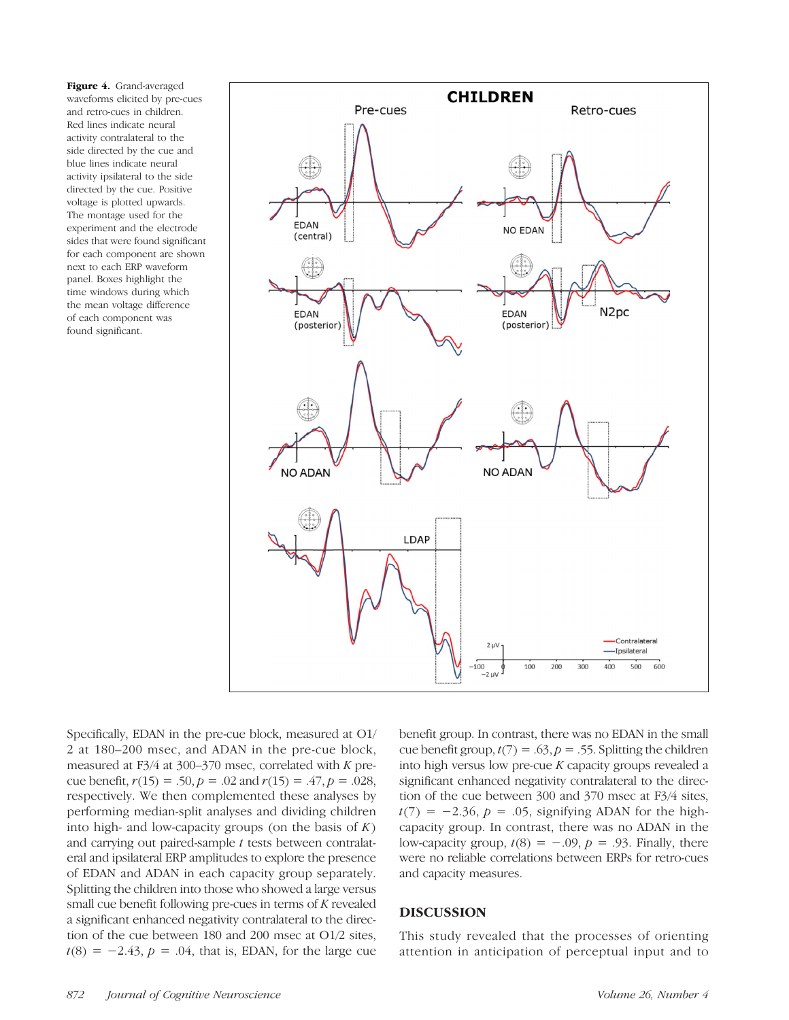Figure 4. Grand-averaged waveforms elicited by pre-cues and retro-cues in children. Red lines indicate neural activity contralateral to the side directed by the cue and blue lines indicate neural activity ipsilateral to the side directed by the cue. Positive voltage is plotted upwards. The montage used for the experiment and the electrode sides that were found significant for each component are shown next to each ERP waveform panel. Boxes highlight the time windows during which the mean voltage difference of each component was found significant.



Specifically, EDAN in the pre-cue block, measured at O1/ 2 at 180–200 msec, and ADAN in the pre-cue block, measured at F3/4 at 300–370 msec, correlated with K precue benefit,  $r(15) = .50$ ,  $p = .02$  and  $r(15) = .47$ ,  $p = .028$ , respectively. We then complemented these analyses by performing median-split analyses and dividing children into high- and low-capacity groups (on the basis of  $K$ ) and carrying out paired-sample  $t$  tests between contralateral and ipsilateral ERP amplitudes to explore the presence of EDAN and ADAN in each capacity group separately. Splitting the children into those who showed a large versus small cue benefit following pre-cues in terms of K revealed a significant enhanced negativity contralateral to the direction of the cue between 180 and 200 msec at O1/2 sites,  $t(8) = -2.43, p = .04$ , that is, EDAN, for the large cue

benefit group. In contrast, there was no EDAN in the small cue benefit group,  $t(7) = .63$ ,  $p = .55$ . Splitting the children into high versus low pre-cue  $K$  capacity groups revealed a significant enhanced negativity contralateral to the direction of the cue between 300 and 370 msec at F3/4 sites,  $t(7) = -2.36$ ,  $p = .05$ , signifying ADAN for the highcapacity group. In contrast, there was no ADAN in the low-capacity group,  $t(8) = -.09$ ,  $p = .93$ . Finally, there were no reliable correlations between ERPs for retro-cues and capacity measures.

# DISCUSSION

This study revealed that the processes of orienting attention in anticipation of perceptual input and to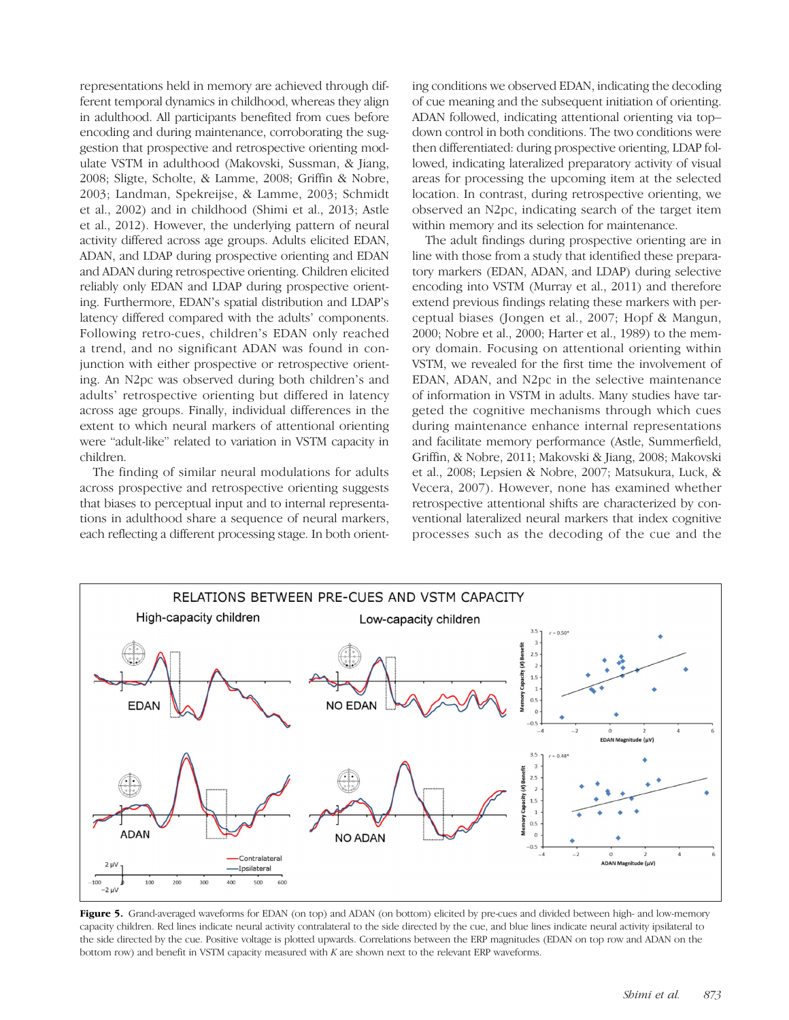representations held in memory are achieved through different temporal dynamics in childhood, whereas they align in adulthood. All participants benefited from cues before encoding and during maintenance, corroborating the suggestion that prospective and retrospective orienting modulate VSTM in adulthood (Makovski, Sussman, & Jiang, 2008; Sligte, Scholte, & Lamme, 2008; Griffin & Nobre, 2003; Landman, Spekreijse, & Lamme, 2003; Schmidt et al., 2002) and in childhood (Shimi et al., 2013; Astle et al., 2012). However, the underlying pattern of neural activity differed across age groups. Adults elicited EDAN, ADAN, and LDAP during prospective orienting and EDAN and ADAN during retrospective orienting. Children elicited reliably only EDAN and LDAP during prospective orienting. Furthermore, EDAN's spatial distribution and LDAP's latency differed compared with the adults' components. Following retro-cues, children's EDAN only reached a trend, and no significant ADAN was found in conjunction with either prospective or retrospective orienting. An N2pc was observed during both children's and adults' retrospective orienting but differed in latency across age groups. Finally, individual differences in the extent to which neural markers of attentional orienting were "adult-like" related to variation in VSTM capacity in children.

The finding of similar neural modulations for adults across prospective and retrospective orienting suggests that biases to perceptual input and to internal representations in adulthood share a sequence of neural markers, each reflecting a different processing stage. In both orienting conditions we observed EDAN, indicating the decoding of cue meaning and the subsequent initiation of orienting. ADAN followed, indicating attentional orienting via top– down control in both conditions. The two conditions were then differentiated: during prospective orienting, LDAP followed, indicating lateralized preparatory activity of visual areas for processing the upcoming item at the selected location. In contrast, during retrospective orienting, we observed an N2pc, indicating search of the target item within memory and its selection for maintenance.

The adult findings during prospective orienting are in line with those from a study that identified these preparatory markers (EDAN, ADAN, and LDAP) during selective encoding into VSTM (Murray et al., 2011) and therefore extend previous findings relating these markers with perceptual biases (Jongen et al., 2007; Hopf & Mangun, 2000; Nobre et al., 2000; Harter et al., 1989) to the memory domain. Focusing on attentional orienting within VSTM, we revealed for the first time the involvement of EDAN, ADAN, and N2pc in the selective maintenance of information in VSTM in adults. Many studies have targeted the cognitive mechanisms through which cues during maintenance enhance internal representations and facilitate memory performance (Astle, Summerfield, Griffin, & Nobre, 2011; Makovski & Jiang, 2008; Makovski et al., 2008; Lepsien & Nobre, 2007; Matsukura, Luck, & Vecera, 2007). However, none has examined whether retrospective attentional shifts are characterized by conventional lateralized neural markers that index cognitive processes such as the decoding of the cue and the



Figure 5. Grand-averaged waveforms for EDAN (on top) and ADAN (on bottom) elicited by pre-cues and divided between high- and low-memory capacity children. Red lines indicate neural activity contralateral to the side directed by the cue, and blue lines indicate neural activity ipsilateral to the side directed by the cue. Positive voltage is plotted upwards. Correlations between the ERP magnitudes (EDAN on top row and ADAN on the bottom row) and benefit in VSTM capacity measured with K are shown next to the relevant ERP waveforms.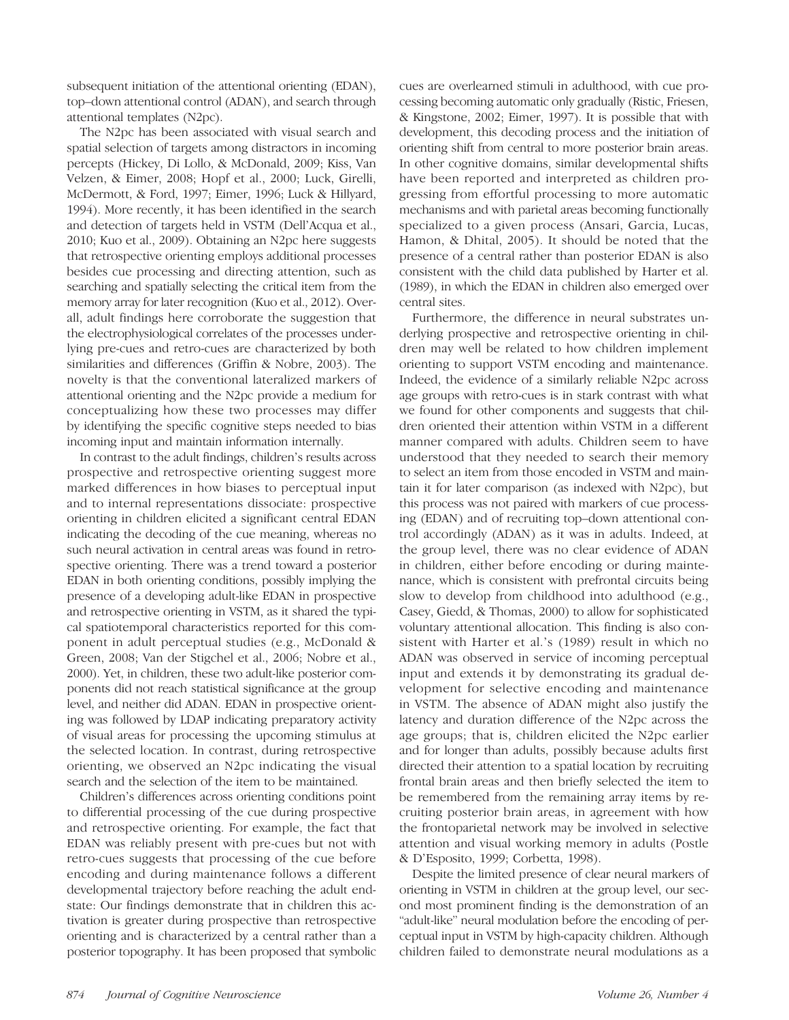subsequent initiation of the attentional orienting (EDAN), top–down attentional control (ADAN), and search through attentional templates (N2pc).

The N2pc has been associated with visual search and spatial selection of targets among distractors in incoming percepts (Hickey, Di Lollo, & McDonald, 2009; Kiss, Van Velzen, & Eimer, 2008; Hopf et al., 2000; Luck, Girelli, McDermott, & Ford, 1997; Eimer, 1996; Luck & Hillyard, 1994). More recently, it has been identified in the search and detection of targets held in VSTM (Dell'Acqua et al., 2010; Kuo et al., 2009). Obtaining an N2pc here suggests that retrospective orienting employs additional processes besides cue processing and directing attention, such as searching and spatially selecting the critical item from the memory array for later recognition (Kuo et al., 2012). Overall, adult findings here corroborate the suggestion that the electrophysiological correlates of the processes underlying pre-cues and retro-cues are characterized by both similarities and differences (Griffin & Nobre, 2003). The novelty is that the conventional lateralized markers of attentional orienting and the N2pc provide a medium for conceptualizing how these two processes may differ by identifying the specific cognitive steps needed to bias incoming input and maintain information internally.

In contrast to the adult findings, children's results across prospective and retrospective orienting suggest more marked differences in how biases to perceptual input and to internal representations dissociate: prospective orienting in children elicited a significant central EDAN indicating the decoding of the cue meaning, whereas no such neural activation in central areas was found in retrospective orienting. There was a trend toward a posterior EDAN in both orienting conditions, possibly implying the presence of a developing adult-like EDAN in prospective and retrospective orienting in VSTM, as it shared the typical spatiotemporal characteristics reported for this component in adult perceptual studies (e.g., McDonald & Green, 2008; Van der Stigchel et al., 2006; Nobre et al., 2000). Yet, in children, these two adult-like posterior components did not reach statistical significance at the group level, and neither did ADAN. EDAN in prospective orienting was followed by LDAP indicating preparatory activity of visual areas for processing the upcoming stimulus at the selected location. In contrast, during retrospective orienting, we observed an N2pc indicating the visual search and the selection of the item to be maintained.

Children's differences across orienting conditions point to differential processing of the cue during prospective and retrospective orienting. For example, the fact that EDAN was reliably present with pre-cues but not with retro-cues suggests that processing of the cue before encoding and during maintenance follows a different developmental trajectory before reaching the adult endstate: Our findings demonstrate that in children this activation is greater during prospective than retrospective orienting and is characterized by a central rather than a posterior topography. It has been proposed that symbolic cues are overlearned stimuli in adulthood, with cue processing becoming automatic only gradually (Ristic, Friesen, & Kingstone, 2002; Eimer, 1997). It is possible that with development, this decoding process and the initiation of orienting shift from central to more posterior brain areas. In other cognitive domains, similar developmental shifts have been reported and interpreted as children progressing from effortful processing to more automatic mechanisms and with parietal areas becoming functionally specialized to a given process (Ansari, Garcia, Lucas, Hamon, & Dhital, 2005). It should be noted that the presence of a central rather than posterior EDAN is also consistent with the child data published by Harter et al. (1989), in which the EDAN in children also emerged over central sites.

Furthermore, the difference in neural substrates underlying prospective and retrospective orienting in children may well be related to how children implement orienting to support VSTM encoding and maintenance. Indeed, the evidence of a similarly reliable N2pc across age groups with retro-cues is in stark contrast with what we found for other components and suggests that children oriented their attention within VSTM in a different manner compared with adults. Children seem to have understood that they needed to search their memory to select an item from those encoded in VSTM and maintain it for later comparison (as indexed with N2pc), but this process was not paired with markers of cue processing (EDAN) and of recruiting top–down attentional control accordingly (ADAN) as it was in adults. Indeed, at the group level, there was no clear evidence of ADAN in children, either before encoding or during maintenance, which is consistent with prefrontal circuits being slow to develop from childhood into adulthood (e.g., Casey, Giedd, & Thomas, 2000) to allow for sophisticated voluntary attentional allocation. This finding is also consistent with Harter et al.'s (1989) result in which no ADAN was observed in service of incoming perceptual input and extends it by demonstrating its gradual development for selective encoding and maintenance in VSTM. The absence of ADAN might also justify the latency and duration difference of the N2pc across the age groups; that is, children elicited the N2pc earlier and for longer than adults, possibly because adults first directed their attention to a spatial location by recruiting frontal brain areas and then briefly selected the item to be remembered from the remaining array items by recruiting posterior brain areas, in agreement with how the frontoparietal network may be involved in selective attention and visual working memory in adults (Postle & D'Esposito, 1999; Corbetta, 1998).

Despite the limited presence of clear neural markers of orienting in VSTM in children at the group level, our second most prominent finding is the demonstration of an "adult-like" neural modulation before the encoding of perceptual input in VSTM by high-capacity children. Although children failed to demonstrate neural modulations as a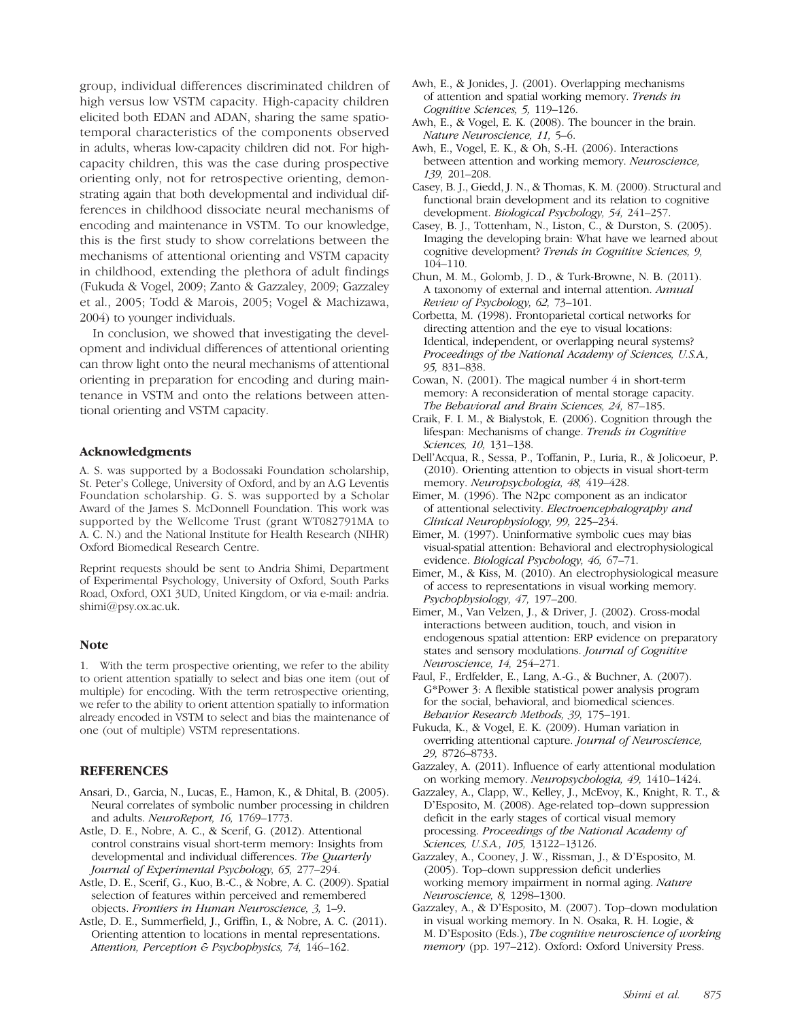group, individual differences discriminated children of high versus low VSTM capacity. High-capacity children elicited both EDAN and ADAN, sharing the same spatiotemporal characteristics of the components observed in adults, wheras low-capacity children did not. For highcapacity children, this was the case during prospective orienting only, not for retrospective orienting, demonstrating again that both developmental and individual differences in childhood dissociate neural mechanisms of encoding and maintenance in VSTM. To our knowledge, this is the first study to show correlations between the mechanisms of attentional orienting and VSTM capacity in childhood, extending the plethora of adult findings (Fukuda & Vogel, 2009; Zanto & Gazzaley, 2009; Gazzaley et al., 2005; Todd & Marois, 2005; Vogel & Machizawa, 2004) to younger individuals.

In conclusion, we showed that investigating the development and individual differences of attentional orienting can throw light onto the neural mechanisms of attentional orienting in preparation for encoding and during maintenance in VSTM and onto the relations between attentional orienting and VSTM capacity.

#### Acknowledgments

A. S. was supported by a Bodossaki Foundation scholarship, St. Peter's College, University of Oxford, and by an A.G Leventis Foundation scholarship. G. S. was supported by a Scholar Award of the James S. McDonnell Foundation. This work was supported by the Wellcome Trust (grant WT082791MA to A. C. N.) and the National Institute for Health Research (NIHR) Oxford Biomedical Research Centre.

Reprint requests should be sent to Andria Shimi, Department of Experimental Psychology, University of Oxford, South Parks Road, Oxford, OX1 3UD, United Kingdom, or via e-mail: andria. shimi@psy.ox.ac.uk.

## Note

1. With the term prospective orienting, we refer to the ability to orient attention spatially to select and bias one item (out of multiple) for encoding. With the term retrospective orienting, we refer to the ability to orient attention spatially to information already encoded in VSTM to select and bias the maintenance of one (out of multiple) VSTM representations.

## REFERENCES

- Ansari, D., Garcia, N., Lucas, E., Hamon, K., & Dhital, B. (2005). Neural correlates of symbolic number processing in children and adults. NeuroReport, 16, 1769–1773.
- Astle, D. E., Nobre, A. C., & Scerif, G. (2012). Attentional control constrains visual short-term memory: Insights from developmental and individual differences. The Quarterly Journal of Experimental Psychology, 65, 277–294.
- Astle, D. E., Scerif, G., Kuo, B.-C., & Nobre, A. C. (2009). Spatial selection of features within perceived and remembered objects. Frontiers in Human Neuroscience, 3, 1–9.
- Astle, D. E., Summerfield, J., Griffin, I., & Nobre, A. C. (2011). Orienting attention to locations in mental representations. Attention, Perception & Psychophysics, 74, 146–162.
- Awh, E., & Jonides, J. (2001). Overlapping mechanisms of attention and spatial working memory. Trends in Cognitive Sciences, 5, 119–126.
- Awh, E., & Vogel, E. K. (2008). The bouncer in the brain. Nature Neuroscience, 11, 5–6.
- Awh, E., Vogel, E. K., & Oh, S.-H. (2006). Interactions between attention and working memory. Neuroscience, 139, 201–208.
- Casey, B. J., Giedd, J. N., & Thomas, K. M. (2000). Structural and functional brain development and its relation to cognitive development. Biological Psychology, 54, 241–257.
- Casey, B. J., Tottenham, N., Liston, C., & Durston, S. (2005). Imaging the developing brain: What have we learned about cognitive development? Trends in Cognitive Sciences, 9, 104–110.
- Chun, M. M., Golomb, J. D., & Turk-Browne, N. B. (2011). A taxonomy of external and internal attention. Annual Review of Psychology, 62, 73–101.
- Corbetta, M. (1998). Frontoparietal cortical networks for directing attention and the eye to visual locations: Identical, independent, or overlapping neural systems? Proceedings of the National Academy of Sciences, U.S.A., 95, 831–838.
- Cowan, N. (2001). The magical number 4 in short-term memory: A reconsideration of mental storage capacity. The Behavioral and Brain Sciences, 24, 87–185.
- Craik, F. I. M., & Bialystok, E. (2006). Cognition through the lifespan: Mechanisms of change. Trends in Cognitive Sciences, 10, 131–138.
- Dell'Acqua, R., Sessa, P., Toffanin, P., Luria, R., & Jolicoeur, P. (2010). Orienting attention to objects in visual short-term memory. Neuropsychologia, 48, 419–428.
- Eimer, M. (1996). The N2pc component as an indicator of attentional selectivity. Electroencephalography and Clinical Neurophysiology, 99, 225–234.
- Eimer, M. (1997). Uninformative symbolic cues may bias visual-spatial attention: Behavioral and electrophysiological evidence. Biological Psychology, 46, 67–71.
- Eimer, M., & Kiss, M. (2010). An electrophysiological measure of access to representations in visual working memory. Psychophysiology, 47, 197–200.
- Eimer, M., Van Velzen, J., & Driver, J. (2002). Cross-modal interactions between audition, touch, and vision in endogenous spatial attention: ERP evidence on preparatory states and sensory modulations. Journal of Cognitive Neuroscience, 14, 254–271.
- Faul, F., Erdfelder, E., Lang, A.-G., & Buchner, A. (2007). G\*Power 3: A flexible statistical power analysis program for the social, behavioral, and biomedical sciences. Behavior Research Methods, 39, 175–191.
- Fukuda, K., & Vogel, E. K. (2009). Human variation in overriding attentional capture. Journal of Neuroscience, 29, 8726–8733.
- Gazzaley, A. (2011). Influence of early attentional modulation on working memory. Neuropsychologia, 49, 1410–1424.
- Gazzaley, A., Clapp, W., Kelley, J., McEvoy, K., Knight, R. T., & D'Esposito, M. (2008). Age-related top–down suppression deficit in the early stages of cortical visual memory processing. Proceedings of the National Academy of Sciences, U.S.A., 105, 13122–13126.
- Gazzaley, A., Cooney, J. W., Rissman, J., & D'Esposito, M. (2005). Top–down suppression deficit underlies working memory impairment in normal aging. Nature Neuroscience, 8, 1298–1300.
- Gazzaley, A., & D'Esposito, M. (2007). Top–down modulation in visual working memory. In N. Osaka, R. H. Logie, & M. D'Esposito (Eds.), The cognitive neuroscience of working memory (pp. 197–212). Oxford: Oxford University Press.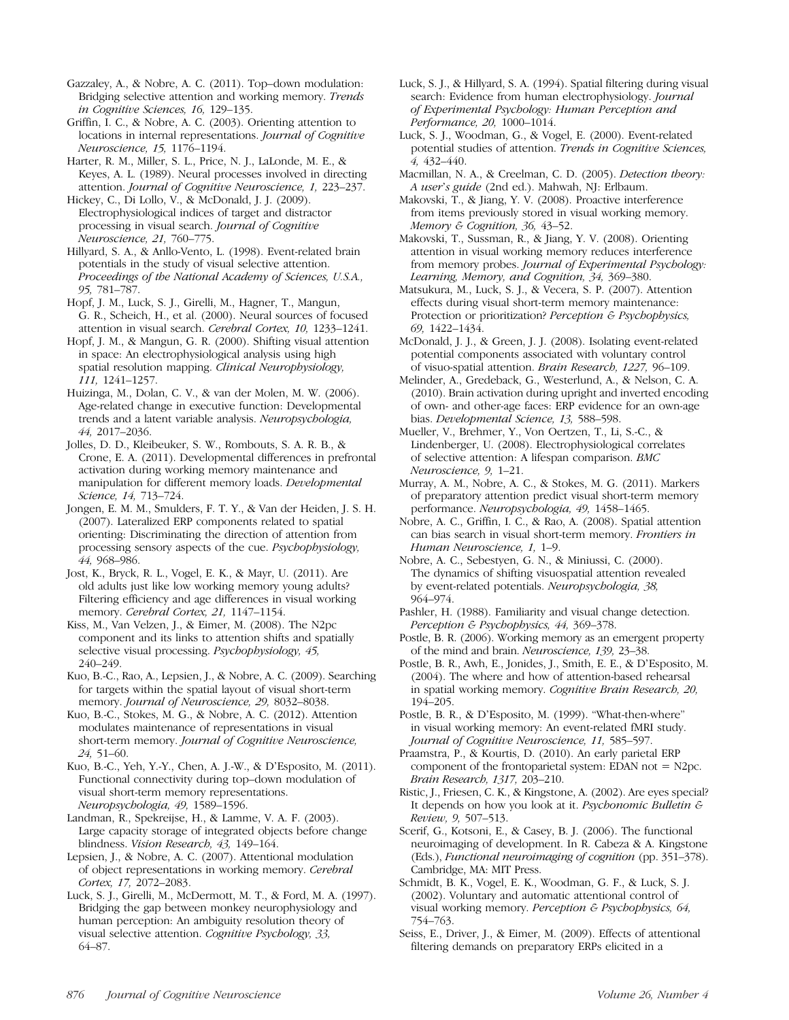Gazzaley, A., & Nobre, A. C. (2011). Top–down modulation: Bridging selective attention and working memory. Trends in Cognitive Sciences, 16, 129–135.

Griffin, I. C., & Nobre, A. C. (2003). Orienting attention to locations in internal representations. Journal of Cognitive Neuroscience, 15, 1176–1194.

Harter, R. M., Miller, S. L., Price, N. J., LaLonde, M. E., & Keyes, A. L. (1989). Neural processes involved in directing attention. Journal of Cognitive Neuroscience, 1, 223–237.

Hickey, C., Di Lollo, V., & McDonald, J. J. (2009). Electrophysiological indices of target and distractor processing in visual search. Journal of Cognitive Neuroscience, 21, 760–775.

Hillyard, S. A., & Anllo-Vento, L. (1998). Event-related brain potentials in the study of visual selective attention. Proceedings of the National Academy of Sciences, U.S.A., 95, 781–787.

Hopf, J. M., Luck, S. J., Girelli, M., Hagner, T., Mangun, G. R., Scheich, H., et al. (2000). Neural sources of focused attention in visual search. Cerebral Cortex, 10, 1233–1241.

Hopf, J. M., & Mangun, G. R. (2000). Shifting visual attention in space: An electrophysiological analysis using high spatial resolution mapping. Clinical Neurophysiology, 111, 1241–1257.

Huizinga, M., Dolan, C. V., & van der Molen, M. W. (2006). Age-related change in executive function: Developmental trends and a latent variable analysis. Neuropsychologia, 44, 2017–2036.

Jolles, D. D., Kleibeuker, S. W., Rombouts, S. A. R. B., & Crone, E. A. (2011). Developmental differences in prefrontal activation during working memory maintenance and manipulation for different memory loads. Developmental Science, 14, 713–724.

Jongen, E. M. M., Smulders, F. T. Y., & Van der Heiden, J. S. H. (2007). Lateralized ERP components related to spatial orienting: Discriminating the direction of attention from processing sensory aspects of the cue. Psychophysiology, 44, 968–986.

Jost, K., Bryck, R. L., Vogel, E. K., & Mayr, U. (2011). Are old adults just like low working memory young adults? Filtering efficiency and age differences in visual working memory. Cerebral Cortex, 21, 1147–1154.

Kiss, M., Van Velzen, J., & Eimer, M. (2008). The N2pc component and its links to attention shifts and spatially selective visual processing. Psychophysiology, 45, 240–249.

Kuo, B.-C., Rao, A., Lepsien, J., & Nobre, A. C. (2009). Searching for targets within the spatial layout of visual short-term memory. Journal of Neuroscience, 29, 8032-8038.

Kuo, B.-C., Stokes, M. G., & Nobre, A. C. (2012). Attention modulates maintenance of representations in visual short-term memory. Journal of Cognitive Neuroscience, 24, 51–60.

Kuo, B.-C., Yeh, Y.-Y., Chen, A. J.-W., & D'Esposito, M. (2011). Functional connectivity during top–down modulation of visual short-term memory representations. Neuropsychologia, 49, 1589–1596.

Landman, R., Spekreijse, H., & Lamme, V. A. F. (2003). Large capacity storage of integrated objects before change blindness. Vision Research, 43, 149–164.

Lepsien, J., & Nobre, A. C. (2007). Attentional modulation of object representations in working memory. Cerebral Cortex, 17, 2072–2083.

Luck, S. J., Girelli, M., McDermott, M. T., & Ford, M. A. (1997). Bridging the gap between monkey neurophysiology and human perception: An ambiguity resolution theory of visual selective attention. Cognitive Psychology, 33, 64–87.

Luck, S. J., & Hillyard, S. A. (1994). Spatial filtering during visual search: Evidence from human electrophysiology. Journal of Experimental Psychology: Human Perception and Performance, 20, 1000–1014.

Luck, S. J., Woodman, G., & Vogel, E. (2000). Event-related potential studies of attention. Trends in Cognitive Sciences, 4, 432–440.

Macmillan, N. A., & Creelman, C. D. (2005). Detection theory: A user's guide (2nd ed.). Mahwah, NJ: Erlbaum.

Makovski, T., & Jiang, Y. V. (2008). Proactive interference from items previously stored in visual working memory. Memory & Cognition, 36, 43–52.

Makovski, T., Sussman, R., & Jiang, Y. V. (2008). Orienting attention in visual working memory reduces interference from memory probes. Journal of Experimental Psychology: Learning, Memory, and Cognition, 34, 369–380.

Matsukura, M., Luck, S. J., & Vecera, S. P. (2007). Attention effects during visual short-term memory maintenance: Protection or prioritization? Perception & Psychophysics, 69, 1422–1434.

McDonald, J. J., & Green, J. J. (2008). Isolating event-related potential components associated with voluntary control of visuo-spatial attention. Brain Research, 1227, 96–109.

Melinder, A., Gredeback, G., Westerlund, A., & Nelson, C. A. (2010). Brain activation during upright and inverted encoding of own- and other-age faces: ERP evidence for an own-age bias. Developmental Science, 13, 588–598.

Mueller, V., Brehmer, Y., Von Oertzen, T., Li, S.-C., & Lindenberger, U. (2008). Electrophysiological correlates of selective attention: A lifespan comparison. BMC Neuroscience, 9, 1–21.

Murray, A. M., Nobre, A. C., & Stokes, M. G. (2011). Markers of preparatory attention predict visual short-term memory performance. Neuropsychologia, 49, 1458–1465.

Nobre, A. C., Griffin, I. C., & Rao, A. (2008). Spatial attention can bias search in visual short-term memory. Frontiers in Human Neuroscience, 1, 1–9.

Nobre, A. C., Sebestyen, G. N., & Miniussi, C. (2000). The dynamics of shifting visuospatial attention revealed by event-related potentials. Neuropsychologia, 38, 964–974.

Pashler, H. (1988). Familiarity and visual change detection. Perception & Psychophysics, 44, 369–378.

Postle, B. R. (2006). Working memory as an emergent property of the mind and brain. Neuroscience, 139, 23–38.

Postle, B. R., Awh, E., Jonides, J., Smith, E. E., & D'Esposito, M. (2004). The where and how of attention-based rehearsal in spatial working memory. Cognitive Brain Research, 20, 194–205.

Postle, B. R., & D'Esposito, M. (1999). "What-then-where" in visual working memory: An event-related fMRI study. Journal of Cognitive Neuroscience, 11, 585–597.

Praamstra, P., & Kourtis, D. (2010). An early parietal ERP component of the frontoparietal system: EDAN not = N2pc. Brain Research, 1317, 203–210.

Ristic, J., Friesen, C. K., & Kingstone, A. (2002). Are eyes special? It depends on how you look at it. Psychonomic Bulletin  $\epsilon$ Review, 9, 507–513.

Scerif, G., Kotsoni, E., & Casey, B. J. (2006). The functional neuroimaging of development. In R. Cabeza & A. Kingstone (Eds.), Functional neuroimaging of cognition (pp. 351–378). Cambridge, MA: MIT Press.

Schmidt, B. K., Vogel, E. K., Woodman, G. F., & Luck, S. J. (2002). Voluntary and automatic attentional control of visual working memory. Perception & Psychophysics, 64, 754–763.

Seiss, E., Driver, J., & Eimer, M. (2009). Effects of attentional filtering demands on preparatory ERPs elicited in a